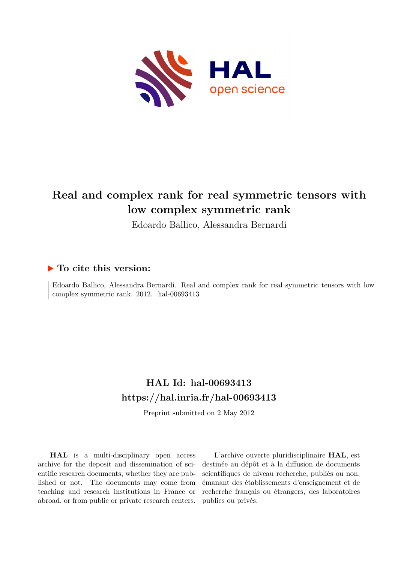

# **Real and complex rank for real symmetric tensors with low complex symmetric rank**

Edoardo Ballico, Alessandra Bernardi

# **To cite this version:**

Edoardo Ballico, Alessandra Bernardi. Real and complex rank for real symmetric tensors with low complex symmetric rank. 2012. hal-00693413

# **HAL Id: hal-00693413 <https://hal.inria.fr/hal-00693413>**

Preprint submitted on 2 May 2012

**HAL** is a multi-disciplinary open access archive for the deposit and dissemination of scientific research documents, whether they are published or not. The documents may come from teaching and research institutions in France or abroad, or from public or private research centers.

L'archive ouverte pluridisciplinaire **HAL**, est destinée au dépôt et à la diffusion de documents scientifiques de niveau recherche, publiés ou non, émanant des établissements d'enseignement et de recherche français ou étrangers, des laboratoires publics ou privés.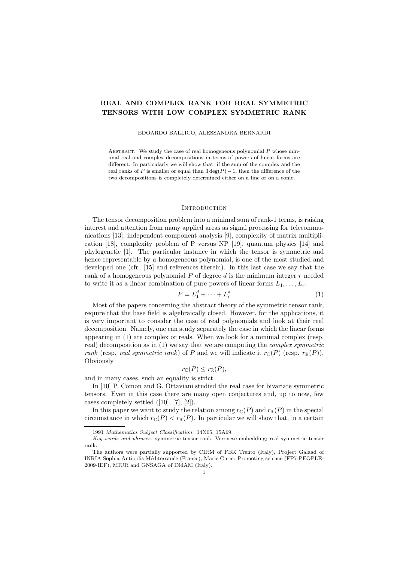# REAL AND COMPLEX RANK FOR REAL SYMMETRIC TENSORS WITH LOW COMPLEX SYMMETRIC RANK

#### EDOARDO BALLICO, ALESSANDRA BERNARDI

ABSTRACT. We study the case of real homogeneous polynomial  $P$  whose minimal real and complex decompositions in terms of powers of linear forms are different. In particularly we will show that, if the sum of the complex and the real ranks of P is smaller or equal than  $3 \deg(P) - 1$ , then the difference of the two decompositions is completely determined either on a line or on a conic.

### **INTRODUCTION**

The tensor decomposition problem into a minimal sum of rank-1 terms, is raising interest and attention from many applied areas as signal processing for telecommunications [13], independent component analysis [9], complexity of matrix multiplication [18], complexity problem of P versus NP [19], quantum physics [14] and phylogenetic [1]. The particular instance in which the tensor is symmetric and hence representable by a homogeneous polynomial, is one of the most studied and developed one (cfr. [15] and references therein). In this last case we say that the rank of a homogeneous polynomial  $P$  of degree  $d$  is the minimum integer  $r$  needed to write it as a linear combination of pure powers of linear forms  $L_1, \ldots, L_r$ :

$$
P = L_1^d + \dots + L_r^d \tag{1}
$$

Most of the papers concerning the abstract theory of the symmetric tensor rank, require that the base field is algebraically closed. However, for the applications, it is very important to consider the case of real polynomials and look at their real decomposition. Namely, one can study separately the case in which the linear forms appearing in (1) are complex or reals. When we look for a minimal complex (resp. real) decomposition as in (1) we say that we are computing the *complex symmetric rank* (resp. *real symmetric rank*) of P and we will indicate it  $r_{\mathbb{C}}(P)$  (resp.  $r_{\mathbb{R}}(P)$ ). **Obviously** 

$$
r_{\mathbb{C}}(P) \leq r_{\mathbb{R}}(P),
$$

and in many cases, such an equality is strict.

In [10] P. Comon and G. Ottaviani studied the real case for bivariate symmetric tensors. Even in this case there are many open conjectures and, up to now, few cases completely settled ([10], [7], [2]).

In this paper we want to study the relation among  $r_{\mathbb{C}}(P)$  and  $r_{\mathbb{R}}(P)$  in the special circumstance in which  $r_{\mathbb{C}}(P) < r_{\mathbb{R}}(P)$ . In particular we will show that, in a certain

<sup>1991</sup> Mathematics Subject Classification. 14N05; 15A69.

Key words and phrases. symmetric tensor rank; Veronese embedding; real symmetric tensor rank.

The authors were partially supported by CIRM of FBK Trento (Italy), Project Galaad of INRIA Sophia Antipolis M´editerran´ee (France), Marie Curie: Promoting science (FP7-PEOPLE-2009-IEF), MIUR and GNSAGA of INdAM (Italy).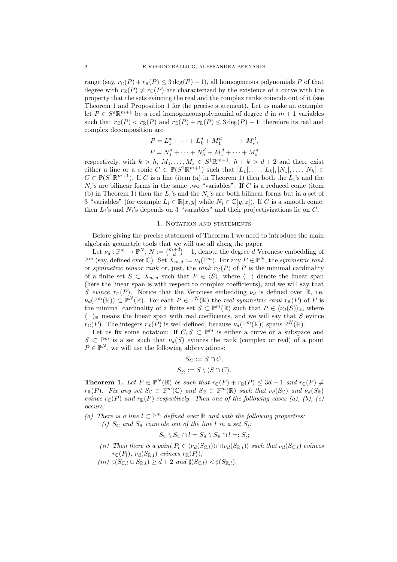range (say,  $r_{\mathbb{C}}(P) + r_{\mathbb{R}}(P) \leq 3 \deg(P) - 1$ ), all homogeneous polynomials P of that degree with  $r_{\mathbb{R}}(P) \neq r_{\mathbb{C}}(P)$  are characterized by the existence of a curve with the property that the sets evincing the real and the complex ranks coincide out of it (see Theorem 1 and Proposition 1 for the precise statement). Let us make an example: let  $P \in S^d \mathbb{R}^{m+1}$  be a real homogeneouspolynomial of degree d in  $m+1$  variables such that  $r_{\mathbb{C}}(P) < r_{\mathbb{R}}(P)$  and  $r_{\mathbb{C}}(P) + r_{\mathbb{R}}(P) \leq 3 \deg(P) - 1$ ; therefore its real and complex decomposition are

$$
P = L_1^d + \dots + L_k^d + M_1^d + \dots + M_s^d,
$$
  

$$
P = N_1^d + \dots + N_h^d + M_1^d + \dots + M_s^d
$$

respectively, with  $k > h$ ,  $M_1, \ldots, M_s \in S^1 \mathbb{R}^{m+1}$ ,  $h + k > d + 2$  and there exist either a line or a conic  $C \subset \mathbb{P}(S^1 \mathbb{R}^{m+1})$  such that  $[L_1], \ldots, [L_k], [N_1], \ldots, [N_h] \in$  $C \subset \mathbb{P}(S^1 \mathbb{R}^{m+1})$ . If C is a line (item (a) in Theorem 1) then both the  $L_i$ 's and the  $N_i$ 's are bilinear forms in the same two "variables". If C is a reduced conic (item (b) in Theorem 1) then the  $L_i$ 's and the  $N_i$ 's are both bilinear forms but in a set of 3 "variables" (for example  $L_i \in \mathbb{R}[x, y]$  while  $N_i \in \mathbb{C}[y, z]$ ). If C is a smooth conic, then  $L_i$ 's and  $N_i$ 's depends on 3 "variables" and their projectivizations lie on C.

## 1. NOTATION AND STATEMENTS

Before giving the precise statement of Theorem 1 we need to introduce the main algebraic geometric tools that we will use all along the paper.

Let  $\nu_d : \mathbb{P}^m \to \mathbb{P}^N$ ,  $N := \binom{m+d}{d} - 1$ , denote the degree d Veronese embedding of  $\mathbb{P}^m$  (say, defined over  $\mathbb{C}$ ). Set  $X_{m,d} := \nu_d(\mathbb{P}^m)$ . For any  $P \in \mathbb{P}^N$ , the *symmetric rank* or *symmetric tensor rank* or, just, the *rank*  $r_{\mathbb{C}}(P)$  of P is the minimal cardinality of a finite set  $S \subset X_{m,d}$  such that  $P \in \langle S \rangle$ , where  $\langle \rangle$  denote the linear span (here the linear span is with respect to complex coefficients), and we will say that S evince  $r_{\mathbb{C}}(P)$ . Notice that the Veronese embedding  $\nu_d$  is defined over  $\mathbb{R}$ , i.e.  $\nu_d(\mathbb{P}^m(\mathbb{R})) \subset \mathbb{P}^N(\mathbb{R})$ . For each  $P \in \mathbb{P}^N(\mathbb{R})$  the *real symmetric rank*  $r_{\mathbb{R}}(P)$  of P is the minimal cardinality of a finite set  $S \subset \mathbb{P}^m(\mathbb{R})$  such that  $P \in \langle \nu_d(S) \rangle_{\mathbb{R}}$ , where  $\langle \rangle_{\mathbb{R}}$  means the linear span with real coefficients, and we will say that S evince  $r_{\mathbb{C}}(P)$ . The integers  $r_{\mathbb{R}}(P)$  is well-defined, because  $\nu_d(\mathbb{P}^m(\mathbb{R}))$  spans  $\mathbb{P}^N(\mathbb{R})$ .

Let us fix some notation: If  $C, S \subset \mathbb{P}^m$  is either a curve or a subspace and  $S \subset \mathbb{P}^m$  is a set such that  $\nu_d(S)$  evinces the rank (complex or real) of a point  $P \in \mathbb{P}^N$ , we will use the following abbreviations:

$$
S_C := S \cap C,
$$
  

$$
S_{\hat{C}} := S \setminus (S \cap C).
$$

**Theorem 1.** Let  $P \in \mathbb{P}^N(\mathbb{R})$  be such that  $r_{\mathbb{C}}(P) + r_{\mathbb{R}}(P) \leq 3d - 1$  and  $r_{\mathbb{C}}(P) \neq 0$  $r_{\mathbb{R}}(P)$ *. Fix any set*  $S_{\mathbb{C}} \subset \mathbb{P}^m(\mathbb{C})$  *and*  $S_{\mathbb{R}} \subset \mathbb{P}^m(\mathbb{R})$  *such that*  $\nu_d(S_{\mathbb{C}})$  *and*  $\nu_d(S_{\mathbb{R}})$ *evince*  $r_{\mathbb{C}}(P)$  *and*  $r_{\mathbb{R}}(P)$  *respectively. Then one of the following cases (a), (b), (c) occurs:*

- (a) There is a line  $l ⊂ \mathbb{P}^m$  defined over ℝ and with the following properties:
	- (*i*)  $S_{\mathbb{C}}$  and  $S_{\mathbb{R}}$  *coincide out of the line l in a set*  $S_i$ :

$$
S_{\mathbb{C}} \setminus S_{\mathbb{C}} \cap l = S_{\mathbb{R}} \setminus S_{\mathbb{R}} \cap l =: S_{\hat{l}};
$$

- *(ii)* Then there is a point  $P_l \in \langle \nu_d(S_{\mathbb{C},l}) \rangle \cap \langle \nu_d(S_{\mathbb{R},l}) \rangle$  *such that*  $\nu_d(S_{\mathbb{C},l})$  *evinces*  $r_{\mathbb{C}}(P_l)$ *,*  $\nu_d(S_{\mathbb{R},l})$  *evinces*  $r_{\mathbb{R}}(P_l)$ *;*
- $(iii)$   $\sharp(S_{\mathbb{C},l} \cup S_{\mathbb{R},l}) \geq d + 2$  *and*  $\sharp(S_{\mathbb{C},l}) < \sharp(S_{\mathbb{R},l}).$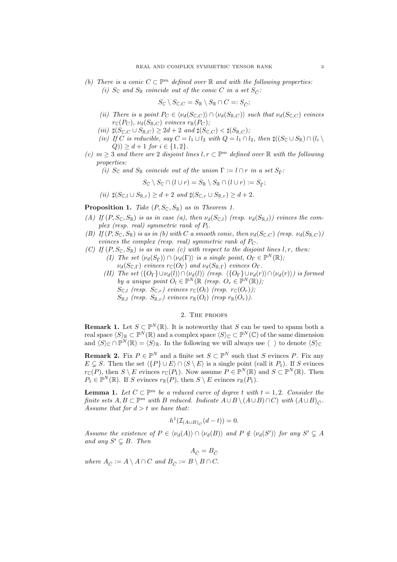*(b)* There is a conic  $C \subset \mathbb{P}^m$  defined over  $\mathbb R$  and with the following properties: *(i)*  $S_{\mathbb{C}}$  *and*  $S_{\mathbb{R}}$  *coincide out of the conic C in a set*  $S_{\hat{C}}$ *:* 

$$
S_{\mathbb{C}} \setminus S_{\mathbb{C},C} = S_{\mathbb{R}} \setminus S_{\mathbb{R}} \cap C =: S_{\hat{C}};
$$

- *(ii)* There is a point  $P_C \in \langle \nu_d(S_{\mathbb{C},C}) \rangle \cap \langle \nu_d(S_{\mathbb{R},C}) \rangle$  *such that*  $\nu_d(S_{\mathbb{C},C})$  *evinces*  $r_{\mathbb{C}}(P_C)$ *,*  $\nu_d(S_{\mathbb{R},C})$  *evinces*  $r_{\mathbb{R}}(P_C)$ *;*
- *(iii)*  $\sharp(S_{\mathbb{C},C} \cup S_{\mathbb{R},C}) \geq 2d + 2$  *and*  $\sharp(S_{\mathbb{C},C}) < \sharp(S_{\mathbb{R},C})$ *;*
- *(iv) If* C *is reducible, say*  $C = l_1 \cup l_2$  *with*  $Q = l_1 \cap l_2$ *, then*  $\sharp((S_{\mathbb{C}} \cup S_{\mathbb{R}}) \cap (l_i \setminus S_{\mathbb{C}}))$  $(Q)$ )  $\geq d+1$  *for*  $i \in \{1,2\}$ *.*
- $(c)$  *m* ≥ 3 *and there are* 2 *disjoint lines*  $l, r \subset \mathbb{P}^m$  *defined over* R *with the following properties:*

*(i)*  $S_{\mathbb{C}}$  *and*  $S_{\mathbb{R}}$  *coincide out of the union*  $\Gamma := l \cap r$  *in a set*  $S_{\hat{r}}$ *:* 

$$
S_{\mathbb{C}}\setminus S_{\mathbb{C}}\cap (l\cup r)=S_{\mathbb{R}}\setminus S_{\mathbb{R}}\cap (l\cup r):=S_{\hat{\Gamma}};
$$

*(ii)*  $\sharp (S_{\Box} \cup S_{\mathbb{R}})_r > d + 2$  *and*  $\sharp (S_{\Box} \cup S_{\mathbb{R}})_r > d + 2$ .

**Proposition 1.** Take  $(P, S_{\mathbb{C}}, S_{\mathbb{R}})$  *as in Theorem 1.* 

- *(A)* If  $(P, S_{\mathbb{C}}, S_{\mathbb{R}})$  *is as in case (a), then*  $\nu_d(S_{\mathbb{C},l})$  *(resp.*  $\nu_d(S_{\mathbb{R},l})$ *) evinces the complex (resp. real) symmetric rank of*  $P_l$ .
- *(B)* If  $(P, S_{\mathbb{C}}, S_{\mathbb{R}})$  *is as in (b) with* C *a smooth conic, then*  $\nu_d(S_{\mathbb{C},C})$  *(resp.*  $\nu_d(S_{\mathbb{R},C})$ ) *evinces the complex (resp. real) symmetric rank of*  $P_C$ .
- *(C)* If  $(P, S_{\mathbb{C}}, S_{\mathbb{R}})$  *is as in case (c) with respect to the disjoint lines* l, r, then:
	- *(I)* The set  $\langle \nu_d(S_{\hat{\Gamma}}) \rangle \cap \langle \nu_d(\Gamma) \rangle$  *is a single point,*  $O_{\Gamma} \in \mathbb{P}^N(\mathbb{R})$ *;*  $\nu_d(S_{\mathbb{C},\Gamma})$  *evinces*  $r_{\mathbb{C}}(O_{\Gamma})$  *and*  $\nu_d(S_{\mathbb{R},\Gamma})$  *evinces*  $O_{\Gamma}$ *.*
	- *(II)* The set  $\langle \{O_{\Gamma}\}\cup \nu_d(l)\rangle \cap \langle \nu_d(l)\rangle$  *(resp.*  $\langle \{O_{\Gamma}\}\cup \nu_d(r)\rangle \cap \langle \nu_d(r)\rangle$ *) is formed by a unique point*  $O_l \in \mathbb{P}^N(\mathbb{R} \text{ (resp. } O_r \in \mathbb{P}^N(\mathbb{R})\text{)};$  $S_{\mathbb{C},l}$  *(resp.*  $S_{\mathbb{C},r}$ *)* evinces  $r_{\mathbb{C}}(O_l)$  *(resp.*  $r_{\mathbb{C}}(O_r)$ *)*;  $S_{\mathbb{R},l}$  *(resp.*  $S_{\mathbb{R},r}$ *)* evinces  $r_{\mathbb{R}}(O_l)$  *(resp*  $r_{\mathbb{R}}(O_r)$ *)*.

### 2. The proofs

**Remark 1.** Let  $S \subset \mathbb{P}^N(\mathbb{R})$ . It is noteworthy that S can be used to spann both a real space  $\langle S \rangle_{\mathbb{R}} \subset \mathbb{P}^N(\mathbb{R})$  and a complex space  $\langle S \rangle_{\mathbb{C}} \subset \mathbb{P}^N(\mathbb{C})$  of the same dimension and  $\langle S \rangle_{\mathbb{C}} \cap \mathbb{P}^N(\mathbb{R}) = \langle S \rangle_{\mathbb{R}}$ . In the following we will always use  $\langle \rangle$  to denote  $\langle S \rangle_{\mathbb{C}}$ 

**Remark 2.** Fix  $P \in \mathbb{P}^N$  and a finite set  $S \subset \mathbb{P}^N$  such that S evinces P. Fix any  $E \subsetneq S$ . Then the set  $\langle {P} \cup E \rangle \cap \langle S \setminus E \rangle$  is a single point (call it  $P_1$ ). If S evinces  $r_{\mathbb{C}}(P)$ , then  $S \setminus E$  evinces  $r_{\mathbb{C}}(P_1)$ . Now assume  $P \in \mathbb{P}^N(\mathbb{R})$  and  $S \subset \mathbb{P}^N(\mathbb{R})$ . Then  $P_1 \in \mathbb{P}^N(\mathbb{R})$ . If S evinces  $r_{\mathbb{R}}(P)$ , then  $S \setminus E$  evinces  $r_{\mathbb{R}}(P_1)$ .

**Lemma 1.** Let  $C \subset \mathbb{P}^m$  be a reduced curve of degree t with  $t = 1, 2$ . Consider the *finite sets*  $A, B \subset \mathbb{P}^m$  *with*  $B$  *reduced. Indicate*  $A \cup B \setminus (A \cup B) \cap C$ *) with*  $(A \cup B)_{\hat{C}}$ *. Assume that for* d > t *we have that:*

$$
h^1(\mathcal{I}_{(A\cup B)_{\hat{C}}}(d-t))=0.
$$

*Assume the existence of*  $P \in \langle \nu_d(A) \rangle \cap \langle \nu_d(B) \rangle$  *and*  $P \notin \langle \nu_d(S') \rangle$  *for any*  $S' \subsetneq A$ *and any*  $S' \subsetneq B$ *. Then* 

 $A_{\hat{C}} = B_{\hat{C}}$ 

*where*  $A_{\hat{C}} := A \setminus A \cap C$  *and*  $B_{\hat{C}} := B \setminus B \cap C$ .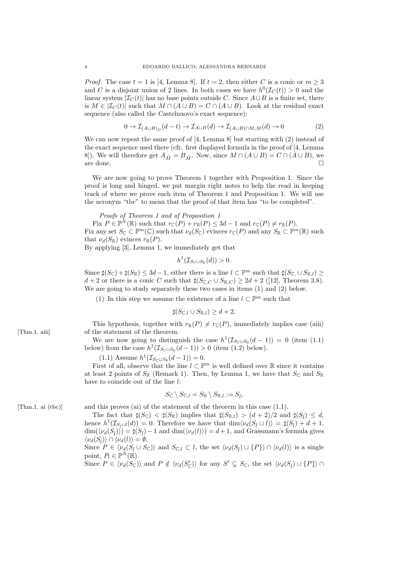*Proof.* The case  $t = 1$  is [4, Lemma 8]. If  $t = 2$ , then either C is a conic or  $m \geq 3$ and C is a disjoint union of 2 lines. In both cases we have  $h^0(\mathcal{I}_C(t)) > 0$  and the linear system  $|\mathcal{I}_C(t)|$  has no base points outside C. Since  $A \cup B$  is a finite set, there is  $M \in |\mathcal{I}_C(t)|$  such that  $M \cap (A \cup B) = C \cap (A \cup B)$ . Look at the residual exact sequence (also called the Castelnuovo's exact sequence):

$$
0 \to \mathcal{I}_{(A \cup B)_{\hat{C}}}(d-t) \to \mathcal{I}_{A \cup B}(d) \to \mathcal{I}_{(A \cup B) \cap M,M}(d) \to 0
$$
 (2)

We can now repeat the same proof of [4, Lemma 8] but starting with (2) instead of the exact sequence used there (cfr. first displayed formula in the proof of [4, Lemma 8]). We will therefore get  $A_{\hat{M}} = B_{\hat{M}}$ . Now, since  $M \cap (A \cup B) = C \cap (A \cup B)$ , we are done. are done.  $\Box$ 

We are now going to prove Theorem 1 together with Proposition 1. Since the proof is long and hinged, we put margin right notes to help the read in keeping track of where we prove each item of Theorem 1 and Proposition 1. We will use the acronym "tbc" to mean that the proof of that item has "to be completed".

*Proofs of Theorem 1 and of Proposition 1*

Fix  $P \in \mathbb{P}^N(\mathbb{R})$  such that  $r_{\mathbb{C}}(P) + r_{\mathbb{R}}(P) \leq 3d - 1$  and  $r_{\mathbb{C}}(P) \neq r_{\mathbb{R}}(P)$ . Fix any set  $S_{\mathbb{C}} \subset \mathbb{P}^m(\mathbb{C})$  such that  $\nu_d(S_{\mathbb{C}})$  evinces  $r_{\mathbb{C}}(P)$  and any  $S_{\mathbb{R}} \subset \mathbb{P}^m(\mathbb{R})$  such that  $\nu_d(S_{\mathbb{R}})$  evinces  $r_{\mathbb{R}}(P)$ .

By applying [3], Lemma 1, we immediately get that

$$
h^1(\mathcal{I}_{S_{\mathbb{C}}\cup S_{\mathbb{R}}}(d))>0.
$$

Since  $\sharp(S_{\mathbb{C}}) + \sharp(S_{\mathbb{R}}) \leq 3d - 1$ , either there is a line  $l \subset \mathbb{P}^m$  such that  $\sharp(S_{\mathbb{C}}, \cup S_{\mathbb{R},l}) \geq$  $d+2$  or there is a conic C such that  $\sharp(S_{\mathbb{C},C}\cup S_{\mathbb{R},C})\geq 2d+2$  ([12], Theorem 3.8). We are going to study separately these two cases in items (1) and (2) below.

(1) In this step we assume the existence of a line  $l \subset \mathbb{P}^m$  such that

 $\sharp (S_{\mathbb{C},l} \cup S_{\mathbb{R},l}) \geq d+2.$ 

This hypothesis, together with  $r_{\mathbb{R}}(P) \neq r_{\mathbb{C}}(P)$ , immediately implies case (aiii) [Thm.1, aiii] of the statement of the theorem.

> We are now going to distinguish the case  $h^1(\mathcal{I}_{S_{\mathbb{C}} \cup S_{\mathbb{R}}}(d-1)) = 0$  (item (1.1) below) from the case  $h^1(\mathcal{I}_{S_{\mathbb{C}} \cup S_{\mathbb{R}}}(d-1)) > 0$  (item (1.2) below).

(1.1) Assume  $h^1(\mathcal{I}_{S_{\mathbb{C}} \cup S_{\mathbb{R}}}(d-1)) = 0.$ 

First of all, observe that the line  $l \subset \mathbb{P}^m$  is well defined over  $\mathbb R$  since it contains at least 2 points of  $S_{\mathbb{R}}$  (Remark 1). Then, by Lemma 1, we have that  $S_{\mathbb{C}}$  and  $S_{\mathbb{R}}$ have to coincide out of the line l:

$$
S_{\mathbb{C}}\setminus S_{\mathbb{C},l}=S_{\mathbb{R}}\setminus S_{\mathbb{R},l}:=S_{\hat{l}},
$$

[Thm.1, ai (tbc)] and this proves (ai) of the statement of the theorem in this case (1.1).

The fact that  $\sharp(S_{\mathbb{C}}) < \sharp(S_{\mathbb{R}})$  implies that  $\sharp(S_{\mathbb{R},l}) > (d+2)/2$  and  $\sharp(S_{\hat{l}}) \leq d$ , hence  $h^1(\mathcal{I}_{S_i \cup l}(d)) = 0$ . Therefore we have that  $\dim \langle \nu_d(S_i \cup l) \rangle = \sharp(S_i) + d + 1$ ,  $\dim(\langle \nu_d(S_{\hat{l}}) \rangle) = \sharp(S_{\hat{l}}) - 1$  and  $\dim(\langle \nu_d(l) \rangle) = d+1$ , and Grassmann's formula gives  $\langle \nu_d(S_{\hat{l}}) \rangle \cap \langle \nu_d(l) \rangle = \emptyset.$ 

Since  $P \in \langle \nu_d(S_{\hat{l}} \cup S_{\mathbb{C}}) \rangle$  and  $S_{\mathbb{C},l} \subset l$ , the set  $\langle \nu_d(S_{\hat{l}}) \cup \{P\} \rangle \cap \langle \nu_d(l) \rangle$  is a single point,  $P_l \in \mathbb{P}^N(\mathbb{R})$ .

Since  $P \in \langle \nu_d(S_{\mathbb{C}}) \rangle$  and  $P \notin \langle \nu_d(S'_{\mathbb{C}}) \rangle$  for any  $S' \subsetneq S_{\mathbb{C}}$ , the set  $\langle \nu_d(S_i) \cup \{P\} \rangle \cap$ 

$$
f_{\rm{max}}
$$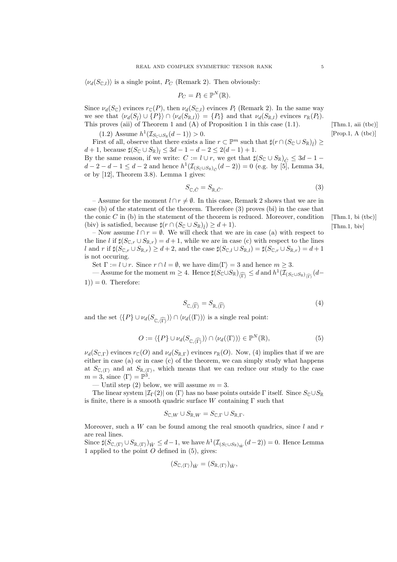$\langle \nu_d(S_{\mathbb{C},l}) \rangle$  is a single point,  $P_C$  (Remark 2). Then obviously:

$$
P_C = P_l \in \mathbb{P}^N(\mathbb{R}).
$$

Since  $\nu_d(S_{\mathbb{C}})$  evinces  $r_{\mathbb{C}}(P)$ , then  $\nu_d(S_{\mathbb{C}}_l)$  evinces  $P_l$  (Remark 2). In the same way we see that  $\langle \nu_d(S_{\tilde{l}}) \cup \{P\} \rangle \cap \langle \nu_d(S_{\mathbb{R},l}) \rangle = \{P_l\}$  and that  $\nu_d(S_{\mathbb{R},l})$  evinces  $r_{\mathbb{R}}(P_l)$ . This proves (aii) of Theorem 1 and (A) of Proposition 1 in this case (1.1). [Thm.1, aii (tbc)]

(1.2) Assume 
$$
h^1(\mathcal{I}_{S_{\mathbb{C}} \cup S_{\mathbb{R}}}(d-1)) > 0
$$
.

First of all, observe that there exists a line  $r \subset \mathbb{P}^m$  such that  $\sharp(r \cap (S_{\mathbb{C}} \cup S_{\mathbb{R}})_i) \geq$ d + 1, because  $\sharp (S_{\mathbb{C}} \cup S_{\mathbb{R}})_i \leq 3d - 1 - d - 2 \leq 2(d - 1) + 1$ . By the same reason, if we write:  $C := l \cup r$ , we get that  $\sharp (S_{\mathbb{C}} \cup S_{\mathbb{R}})_{\hat{C}} \leq 3d - 1$  $d-2-d-1 \leq d-2$  and hence  $h^1(\mathcal{I}_{(S_{\mathbb{C}} \cup S_{\mathbb{R}})_{\hat{C}}}(d-2)) = 0$  (e.g. by [5], Lemma 34, or by [12], Theorem 3.8). Lemma 1 gives:

$$
S_{\mathbb{C},\hat{C}} = S_{\mathbb{R},\hat{C}}.\tag{3}
$$

– Assume for the moment  $l \cap r \neq \emptyset$ . In this case, Remark 2 shows that we are in case (b) of the statement of the theorem. Therefore (3) proves (bi) in the case that the conic C in (b) in the statement of the theorem is reduced. Moreover, condition [Thm.1, bi (tbc)] (biv) is satisfied, because  $\sharp (r \cap (S_{\mathbb{C}} \cup S_{\mathbb{R}})_i) \geq d+1$ ).

– Now assume  $l \cap r = \emptyset$ . We will check that we are in case (a) with respect to the line l if  $\sharp(S_{\mathbb{C},r} \cup S_{\mathbb{R},r}) = d+1$ , while we are in case (c) with respect to the lines l and r if  $\sharp(S_{\mathbb{C},r} \cup S_{\mathbb{R},r}) \geq d+2$ , and the case  $\sharp(S_{\mathbb{C},l} \cup S_{\mathbb{R},l}) = \sharp(S_{\mathbb{C},r} \cup S_{\mathbb{R},r}) = d+1$ is not occuring.

Set  $\Gamma := l \cup r$ . Since  $r \cap l = \emptyset$ , we have  $\dim(\Gamma) = 3$  and hence  $m \geq 3$ .

 $-$  Assume for the moment  $m \geq 4$ . Hence  $\sharp(S_{\mathbb{C}} \cup S_{\mathbb{R}})_{\widehat{(\Gamma)}} \leq d$  and  $h^1(\mathcal{I}_{(S_{\mathbb{C}} \cup S_{\mathbb{R}})_{\widehat{(\Gamma)}}}(d 1) = 0$ . Therefore:

$$
S_{\mathbb{C},\widehat{(\Gamma)}} = S_{\mathbb{R},\widehat{(\Gamma)}}\tag{4}
$$

and the set  $\langle {P} \cup \nu_d(S_{\mathbb{C}, {\widehat{(\Gamma)}}}) \rangle \cap \langle \nu_d(\langle \Gamma \rangle) \rangle$  is a single real point:

$$
O := \langle \{P\} \cup \nu_d(S_{\mathbb{C}, \widehat{(\Gamma)}}) \rangle \cap \langle \nu_d(\langle \Gamma \rangle) \rangle \in \mathbb{P}^N(\mathbb{R}),\tag{5}
$$

 $\nu_d(S_{\mathbb{C},\Gamma})$  evinces  $r_{\mathbb{C}}(O)$  and  $\nu_d(S_{\mathbb{R},\Gamma})$  evinces  $r_{\mathbb{R}}(O)$ . Now, (4) implies that if we are either in case (a) or in case (c) of the theorem, we can simply study what happens at  $S_{\mathbb{C},\langle\Gamma\rangle}$  and at  $S_{\mathbb{R},\langle\Gamma\rangle}$ , which means that we can reduce our study to the case  $m = 3$ , since  $\langle \Gamma \rangle = \mathbb{P}^3$ .

— Until step (2) below, we will assume  $m = 3$ .

The linear system  $|\mathcal{I}_{\Gamma}(2)|$  on  $\langle \Gamma \rangle$  has no base points outside  $\Gamma$  itself. Since  $S_{\Gamma} \cup S_{\mathbb{R}}$ is finite, there is a smooth quadric surface W containing  $\Gamma$  such that

$$
S_{\mathbb{C},W} \cup S_{\mathbb{R},W} = S_{\mathbb{C},\Gamma} \cup S_{\mathbb{R},\Gamma}.
$$

Moreover, such a  $W$  can be found among the real smooth quadrics, since  $l$  and  $r$ are real lines.

Since  $\sharp (S_{\mathbb{C},\langle \Gamma \rangle} \cup S_{\mathbb{R},\langle \Gamma \rangle})_{\hat{W}} \leq d-1$ , we have  $h^1(\mathcal{I}_{(S_{\mathbb{C}} \cup S_{\mathbb{R}})_{\hat{W}}}(d-2)) = 0$ . Hence Lemma 1 applied to the point  $O$  defined in  $(5)$ , gives:

$$
(S_{\mathbb{C},\langle \Gamma \rangle})_{\hat{W}} = (S_{\mathbb{R},\langle \Gamma \rangle})_{\hat{W}},
$$

 $[Prop.1, A (the)]$ 

 $[Thm.1, biv]$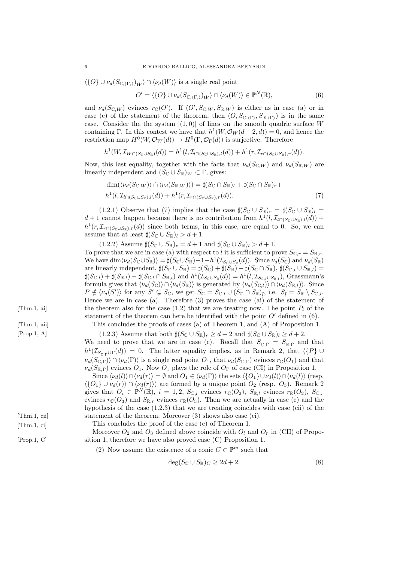$\langle \{O\} \cup \nu_d(S_{\mathbb{C},\langle\Gamma,\rangle})_{\hat{W}}\rangle \cap \langle \nu_d(W)\rangle$  is a single real point

$$
O' = \langle \{O\} \cup \nu_d(S_{\mathbb{C}, \langle \Gamma, \rangle})_{\hat{W}} \rangle \cap \langle \nu_d(W) \rangle \in \mathbb{P}^N(\mathbb{R}),
$$
\n(6)

and  $\nu_d(S_{\mathbb{C},W})$  evinces  $r_{\mathbb{C}}(O')$ . If  $(O',S_{\mathbb{C},W},S_{\mathbb{R},W})$  is either as in case (a) or in case (c) of the statement of the theorem, then  $(O, S_{\mathbb{C},\langle \Gamma \rangle}, S_{\mathbb{R},\langle \Gamma \rangle})$  is in the same case. Consider the the system  $|(1,0)|$  of lines on the smooth quadric surface W containing Γ. In this contest we have that  $h^1(W, \mathcal{O}_W(d-2, d)) = 0$ , and hence the restriction map  $H^0(W, \mathcal{O}_W(d)) \to H^0(\Gamma, \mathcal{O}_\Gamma(d))$  is surjective. Therefore

$$
h^1(W, \mathcal{I}_{W \cap (S_{\mathbb{C}} \cup S_{\mathbb{R}})}(d)) = h^1(l, \mathcal{I}_{l \cap (S_{\mathbb{C}} \cup S_{\mathbb{R}}),l}(d)) + h^1(r, \mathcal{I}_{r \cap (S_{\mathbb{C}} \cup S_{\mathbb{R}}),r}(d)).
$$

Now, this last equality, together with the facts that  $\nu_d(S_{\mathbb{C},W})$  and  $\nu_d(S_{\mathbb{R},W})$  are linearly independent and  $(S_{\mathbb{C}} \cup S_{\mathbb{R}})_W \subset \Gamma$ , gives:

$$
\dim(\langle \nu_d(S_{\mathbb{C},W}) \rangle \cap \langle \nu_d(S_{\mathbb{R},W}) \rangle) = \sharp(S_{\mathbb{C}} \cap S_{\mathbb{R}})_l + \sharp(S_{\mathbb{C}} \cap S_{\mathbb{R}})_r + h^1(l, \mathcal{I}_{l \cap (S_{\mathbb{C}} \cup S_{\mathbb{R}}),l}(d)) + h^1(r, \mathcal{I}_{r \cap (S_{\mathbb{C}} \cup S_{\mathbb{R}}),r}(d)).
$$
\n(7)

(1.2.1) Observe that (7) implies that the case  $\sharp (S_{\mathbb{C}} \cup S_{\mathbb{R}})_r = \sharp (S_{\mathbb{C}} \cup S_{\mathbb{R}})_l =$  $d+1$  cannot happen because there is no contribution from  $h^1(l, \mathcal{I}_{l \cap (S_{\mathbb{C}} \cup S_{\mathbb{R}}),l}(d))$  +  $h^1(r,\mathcal{I}_{r\cap (S_{\mathbb{C}}\cup S_{\mathbb{R}}),r}(d))$  since both terms, in this case, are equal to 0. So, we can assume that at least  $\sharp (S_{\mathbb{C}} \cup S_{\mathbb{R}})_l > d+1$ .

 $(1.2.2)$  Assume  $\sharp (S_{\mathbb{C}} \cup S_{\mathbb{R}})_r = d + 1$  and  $\sharp (S_{\mathbb{C}} \cup S_{\mathbb{R}})_l > d + 1$ . To prove that we are in case (a) with respect to l it is sufficient to prove  $S_{\mathbb{C},r} = S_{\mathbb{R},r}$ . We have  $\dim \langle \nu_d(S_{\mathbb{C}} \cup S_{\mathbb{R}}) \rangle = \sharp(S_{\mathbb{C}} \cup S_{\mathbb{R}}) - 1 - h^1(\mathcal{I}_{S_{\mathbb{C}} \cup S_{\mathbb{R}}}(d)).$  Since  $\nu_d(S_{\mathbb{C}})$  and  $\nu_d(S_{\mathbb{R}})$ are linearly independent,  $\sharp(S_{\mathbb{C}} \cup S_{\mathbb{R}}) = \sharp(S_{\mathbb{C}}) + \sharp(S_{\mathbb{R}}) - \sharp(S_{\mathbb{C}} \cap S_{\mathbb{R}}), \sharp(S_{\mathbb{C},l} \cup S_{\mathbb{R},l}) =$  $\sharp (S_{\mathbb{C},l}) + \sharp (S_{\mathbb{R},l}) - \sharp (S_{\mathbb{C},l} \cap S_{\mathbb{R},l})$  and  $h^1(\mathcal{I}_{S_{\mathbb{C}} \cup S_{\mathbb{R}}}(d)) = h^1(l,\mathcal{I}_{S_{\mathbb{C},l} \cup S_{\mathbb{R},l}})$ , Grassmann's formula gives that  $\langle \nu_d(S_{\mathbb{C}})\rangle \cap \langle \nu_d(S_{\mathbb{R}})\rangle$  is generated by  $\langle \nu_d(S_{\mathbb{C},l})\rangle \cap \langle \nu_d(S_{\mathbb{R},l})\rangle$ . Since  $P \notin \langle \nu_d(S') \rangle$  for any  $S' \subsetneq S_{\mathbb{C}}$ , we get  $S_{\mathbb{C}} = S_{\mathbb{C},l} \cup (S_{\mathbb{C}} \cap S_{\mathbb{R}})_{\hat{l}}$ , i.e.  $S_{\hat{l}} = S_{\mathbb{R}} \setminus S_{\mathbb{C},l}$ . Hence we are in case (a). Therefore (3) proves the case (ai) of the statement of [Thm.1, ai] the theorem also for the case (1.2) that we are treating now. The point  $P_l$  of the statement of the theorem can here be identified with the point  $O'$  defined in (6). [Thm.1, aii] This concludes the proofs of cases (a) of Theorem 1, and (A) of Proposition 1. [Prop.1, A] (1.2.3) Assume that both  $\sharp (S_{\mathbb{C}} \cup S_{\mathbb{R}})_r \geq d+2$  and  $\sharp (S_{\mathbb{C}} \cup S_{\mathbb{R}})_l \geq d+2$ .

We need to prove that we are in case (c). Recall that  $S_{\mathbb{C},\hat{\Gamma}} = S_{\mathbb{R},\hat{\Gamma}}$  and that  $h^1(\mathcal{I}_{S_{\mathbb{C},\hat{\Gamma}}\cup\Gamma}(d)) = 0$ . The latter equality implies, as in Remark 2, that  $\langle \{P\} \cup$  $\nu_d(S_{\mathbb{C},\Gamma})\rangle \cap \langle \nu_d(\Gamma) \rangle$  is a single real point  $O_1$ , that  $\nu_d(S_{\mathbb{C},\Gamma})$  evinces  $r_{\mathbb{C}}(O_1)$  and that  $\nu_d(S_{\mathbb{R},\Gamma})$  evinces  $O_1$ . Now  $O_1$  plays the role of  $O_{\Gamma}$  of case (CI) in Proposition 1.

Since  $\langle \nu_d(l)\rangle \cap \langle \nu_d(r)\rangle = \emptyset$  and  $O_1 \in \langle \nu_d(\Gamma)\rangle$  the sets  $\langle O_1 \rangle \cup \nu_d(l)\rangle \cap \langle \nu_d(l)\rangle$  (resp.  $\langle \{O_1\} \cup \nu_d(r) \rangle \cap \langle \nu_d(r) \rangle$  are formed by a unique point  $O_2$  (resp.  $O_3$ ). Remark 2 gives that  $O_i \in \mathbb{P}^N(\mathbb{R})$ ,  $i = 1, 2$ ,  $S_{\mathbb{C},l}$  evinces  $r_{\mathbb{C}}(O_2)$ ,  $S_{\mathbb{R},l}$  evinces  $r_{\mathbb{R}}(O_2)$ ,  $S_{\mathbb{C},r}$ evinces  $r_{\mathbb{C}}(O_3)$  and  $S_{\mathbb{R},r}$  evinces  $r_{\mathbb{R}}(O_3)$ . Then we are actually in case (c) and the hypothesis of the case (1.2.3) that we are treating coincides with case (cii) of the [Thm.1, cii] statement of the theorem. Moreover (3) shows also case (ci).

[Thm.1, ci] This concludes the proof of the case (c) of Theorem 1.

Moreover  $O_2$  and  $O_3$  defined above coincide with  $O_l$  and  $O_r$  in (CII) of Propo-[Prop.1, C] sition 1, therefore we have also proved case (C) Proposition 1.

(2) Now assume the existence of a conic  $C \subset \mathbb{P}^m$  such that

$$
\deg(S_{\mathbb{C}} \cup S_{\mathbb{R}})_{C} \ge 2d + 2. \tag{8}
$$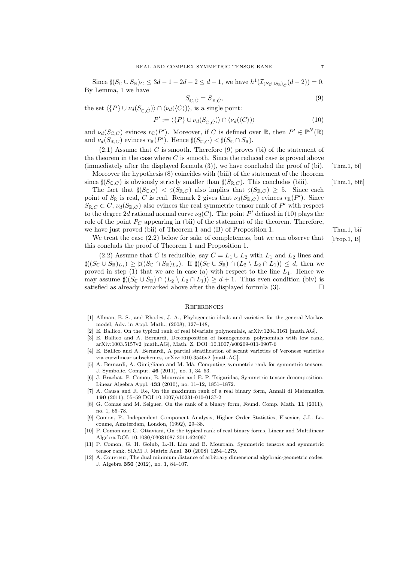Since  $\sharp (S_{\mathbb{C}} \cup S_{\mathbb{R}})$   $\subset \leq 3d - 1 - 2d - 2 \leq d - 1$ , we have  $h^1(\mathcal{I}_{(S_{\mathbb{C}} \cup S_{\mathbb{R}})_{\hat{C}}}(d - 2)) = 0$ . By Lemma, 1 we have

$$
S_{\mathbb{C},\hat{C}} = S_{\mathbb{R},\hat{C}},\tag{9}
$$

the set  $\langle {P} \cup \nu_d(S_{\cap \hat{C}}) \rangle \cap \langle \nu_d(\langle C \rangle) \rangle$ , is a single point:

$$
P' := \langle \{P\} \cup \nu_d(S_{\mathbb{C}, \hat{C}}) \rangle \cap \langle \nu_d(\langle C \rangle) \rangle \tag{10}
$$

and  $\nu_d(S_{\mathbb{C},C})$  evinces  $r_{\mathbb{C}}(P')$ . Moreover, if C is defined over  $\mathbb{R}$ , then  $P' \in \mathbb{P}^N(\mathbb{R})$ and  $\nu_d(S_{\mathbb{R},C})$  evinces  $r_{\mathbb{R}}(P')$ . Hence  $\sharp(S_{\mathbb{C},C}) < \sharp(S_{\mathbb{C}} \cap S_{\mathbb{R}})$ .

 $(2.1)$  Assume that C is smooth. Therefore  $(9)$  proves (bi) of the statement of the theorem in the case where  $C$  is smooth. Since the reduced case is proved above (immediately after the displayed formula  $(3)$ ), we have concluded the proof of  $(bi)$ . [Thm.1, bi]

Moreover the hypothesis (8) coincides with (biii) of the statement of the theorem since  $\sharp(S_{\mathbb{C},C})$  is obviously strictly smaller than  $\sharp(S_{\mathbb{R},C})$ . This concludes (biii). [Thm.1, biii]

The fact that  $\sharp(S_{\mathbb{C},C}) < \sharp(S_{\mathbb{R},C})$  also implies that  $\sharp(S_{\mathbb{R},C}) \geq 5$ . Since each point of  $S_{\mathbb{R}}$  is real, C is real. Remark 2 gives that  $\nu_d(S_{\mathbb{R},C})$  evinces  $r_{\mathbb{R}}(P')$ . Since  $S_{\mathbb{R},C} \subset C$ ,  $\nu_d(S_{\mathbb{R},C})$  also evinces the real symmetric tensor rank of P' with respect to the degree 2d rational normal curve  $\nu_d(C)$ . The point P' defined in (10) plays the role of the point  $P<sub>C</sub>$  appearing in (bii) of the statement of the theorem. Therefore, we have just proved (bii) of Theorem 1 and (B) of Proposition 1. [Thm.1, bii]

We treat the case  $(2.2)$  below for sake of completeness, but we can observe that [Prop.1, B] this concluds the proof of Theorem 1 and Proposition 1.

(2.2) Assume that C is reducible, say  $C = L_1 \cup L_2$  with  $L_1$  and  $L_2$  lines and  $\sharp ((S_{\mathbb{C}} \cup S_{\mathbb{R}})_{L_1}) \geq \sharp ((S_{\mathbb{C}} \cap S_{\mathbb{R}})_{L_2})$ . If  $\sharp ((S_{\mathbb{C}} \cup S_{\mathbb{R}}) \cap (L_2 \setminus L_2 \cap L_1)) \leq d$ , then we proved in step  $(1)$  that we are in case  $(a)$  with respect to the line  $L_1$ . Hence we may assume  $\sharp((S_{\mathbb{C}} \cup S_{\mathbb{R}}) \cap (L_2 \setminus L_2 \cap L_1)) \geq d+1$ . Thus even condition (biv) is satisfied as already remarked above after the displayed formula  $(3)$ .

#### **REFERENCES**

- [1] Allman, E. S., and Rhodes, J. A., Phylogenetic ideals and varieties for the general Markov model, Adv. in Appl. Math., (2008), 127–148,
- [2] E. Ballico, On the typical rank of real bivariate polynomials, arXiv:1204.3161 [math.AG].
- [3] E. Ballico and A. Bernardi, Decomposition of homogeneous polynomials with low rank, arXiv:1003.5157v2 [math.AG], Math. Z. DOI :10.1007/s00209-011-0907-6
- [4] E. Ballico and A. Bernardi, A partial stratification of secant varieties of Veronese varieties via curvilinear subschemes, arXiv:1010.3546v2 [math.AG].
- [5] A. Bernardi, A. Gimigliano and M. Idà, Computing symmetric rank for symmetric tensors. J. Symbolic. Comput. 46 (2011), no. 1, 34–53.
- [6] J. Brachat, P. Comon, B. Mourrain and E. P. Tsigaridas, Symmetric tensor decomposition. Linear Algebra Appl. 433 (2010), no. 11–12, 1851–1872.
- [7] A. Causa and R. Re, On the maximum rank of a real binary form, Annali di Matematica 190 (2011), 55–59 DOI 10.1007/s10231-010-0137-2
- [8] G. Comas and M. Seiguer, On the rank of a binary form, Found. Comp. Math. 11 (2011), no. 1, 65–78.
- [9] Comon, P., Independent Component Analysis, Higher Order Statistics, Elsevier, J-L. Lacoume, Amsterdam, London, (1992), 29–38.
- [10] P. Comon and G. Ottaviani, On the typical rank of real binary forms, Linear and Multilinear Algebra DOI: 10.1080/03081087.2011.624097
- [11] P. Comon, G. H. Golub, L.-H. Lim and B. Mourrain, Symmetric tensors and symmetric tensor rank, SIAM J. Matrix Anal. 30 (2008) 1254–1279.
- [12] A. Couvreur, The dual minimum distance of arbitrary dimensional algebraic-geometric codes, J. Algebra 350 (2012), no. 1, 84–107.